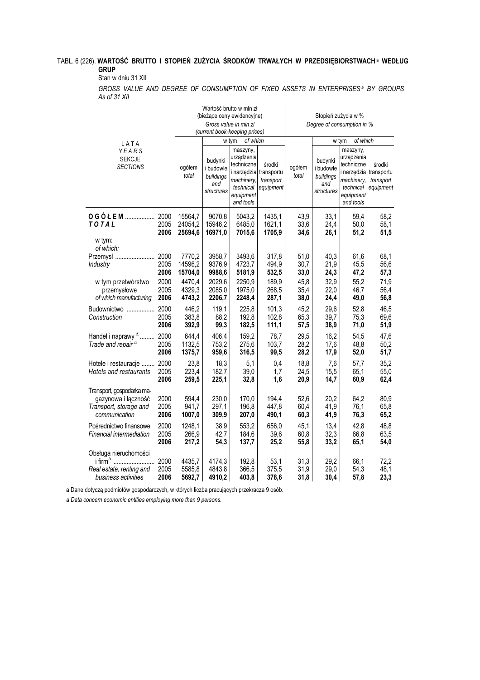## TABL. 6 (226). **WARTOŚĆ BRUTTO I STOPIEŃ ZUŻYCIA ŚRODKÓW TRWAŁYCH W PRZEDSIĘBIORSTWACHª WEDŁUG** GRUP

## Stan w dniu 31 XII

GROSS VALUE AND DEGREE OF CONSUMPTION OF FIXED ASSETS IN ENTERPRISES<sup>a</sup> BY GROUPS As of 31 XII

| LATA<br>YEARS<br><b>SEKCJE</b><br><b>SECTIONS</b>                                                                    |                      | ogółem<br>total               | budynki<br>i budowle<br>buildings<br>and<br>structures | Wartość brutto w mln zł<br>(bieżące ceny ewidencyjne)<br>Gross value in mln zl<br>(current book-keeping prices)<br>of which<br>w tym<br>maszyny,<br>urzadzenia<br>techniczne<br>i narzędzia transportu<br>machinery,<br>technical<br>equipment<br>and tools | środki<br>transport<br>equipment | ogółem<br>total      | budynki<br>i budowle<br>buildings<br>and<br>structures | Stopień zużycia w %<br>Degree of consumption in %<br>of which<br>w tym<br>maszyny,<br>urzadzenia<br>techniczne<br>narzędzia<br>machinery,<br>technical<br>equipment<br>and tools | środki<br>transportu<br>transport<br>equipment |
|----------------------------------------------------------------------------------------------------------------------|----------------------|-------------------------------|--------------------------------------------------------|-------------------------------------------------------------------------------------------------------------------------------------------------------------------------------------------------------------------------------------------------------------|----------------------------------|----------------------|--------------------------------------------------------|----------------------------------------------------------------------------------------------------------------------------------------------------------------------------------|------------------------------------------------|
| TOTAL<br>w tym:                                                                                                      | 2005<br>2006         | 15564,7<br>24054,2<br>25694,6 | 9070,8<br>15946,2<br>16971,0                           | 5043,2<br>6485,0<br>7015,6                                                                                                                                                                                                                                  | 1435,1<br>1621,1<br>1705,9       | 43,9<br>33,6<br>34,6 | 33,1<br>24,4<br>26,1                                   | 59,4<br>50,0<br>51,2                                                                                                                                                             | 58,2<br>58,1<br>51,5                           |
| of which:<br>Przemysł  2000<br>Industry                                                                              | 2005<br>2006         | 7770,2<br>14596,2<br>15704,0  | 3958,7<br>9376,9<br>9988,6                             | 3493,6<br>4723,7<br>5181,9                                                                                                                                                                                                                                  | 317,8<br>494,9<br>532,5          | 51,0<br>30,7<br>33,0 | 40,3<br>21,9<br>24,3                                   | 61,6<br>45,5<br>47,2                                                                                                                                                             | 68,1<br>56,6<br>57,3                           |
| w tym przetwórstwo<br>przemysłowe<br>of which manufacturing                                                          | 2000<br>2005<br>2006 | 4470,4<br>4329,3<br>4743,2    | 2029,6<br>2085,0<br>2206,7                             | 2250,9<br>1975,0<br>2248,4                                                                                                                                                                                                                                  | 189,9<br>268,5<br>287,1          | 45,8<br>35,4<br>38,0 | 32,9<br>22,0<br>24,4                                   | 55,2<br>46,7<br>49,0                                                                                                                                                             | 71,9<br>56,4<br>56,8                           |
| Budownictwo<br>Construction                                                                                          | 2000<br>2005<br>2006 | 446,2<br>383,8<br>392,9       | 119,1<br>88,2<br>99,3                                  | 225,8<br>192,8<br>182,5                                                                                                                                                                                                                                     | 101,3<br>102,8<br>111,1          | 45,2<br>65,3<br>57,5 | 29,6<br>39,7<br>38,9                                   | 52,8<br>75,3<br>71,0                                                                                                                                                             | 46,5<br>69,6<br>51,9                           |
| Handel i naprawy <sup>A</sup><br>Trade and repair <sup>4</sup>                                                       | 2000<br>2005<br>2006 | 644,4<br>1132,5<br>1375,7     | 406,4<br>753,2<br>959,6                                | 159,2<br>275,6<br>316,5                                                                                                                                                                                                                                     | 78,7<br>103,7<br>99,5            | 29,5<br>28,2<br>28,2 | 16,2<br>17,6<br>17,9                                   | 54,5<br>48,8<br>52,0                                                                                                                                                             | 47,6<br>50,2<br>51,7                           |
| Hotele i restauracje<br><b>Hotels and restaurants</b>                                                                | 2000<br>2005<br>2006 | 23,8<br>223,4<br>259,5        | 18,3<br>182,7<br>225,1                                 | 5,1<br>39,0<br>32,8                                                                                                                                                                                                                                         | 0,4<br>1,7<br>1,6                | 18,8<br>24,5<br>20,9 | 7,6<br>15,5<br>14,7                                    | 57,7<br>65,1<br>60,9                                                                                                                                                             | 35,2<br>55,0<br>62,4                           |
| Transport, gospodarka ma-<br>gazynowa i łączność<br>Transport, storage and<br>communication                          | 2000<br>2005<br>2006 | 594,4<br>941,7<br>1007,0      | 230,0<br>297,1<br>309,9                                | 170,0<br>196,8<br>207,0                                                                                                                                                                                                                                     | 194,4<br>447,8<br>490,1          | 52,6<br>60,4<br>60,3 | 20,2<br>41,9<br>41,9                                   | 64,2<br>76,1<br>76,3                                                                                                                                                             | 80,9<br>65,8<br>65,2                           |
| Pośrednictwo finansowe<br>Financial intermediation                                                                   | 2000<br>2005<br>2006 | 1248,1<br>266,9<br>217,2      | 38,9<br>42,7<br>54,3                                   | 553,2<br>184,6<br>137,7                                                                                                                                                                                                                                     | 656,0<br>39,6<br>25,2            | 45,1<br>60,8<br>55,8 | 13,4<br>32,3<br>33,2                                   | 42,8<br>66,8<br>65,1                                                                                                                                                             | 48,8<br>63,5<br>54,0                           |
| Obsługa nieruchomości<br>i firm <sup><math>\triangle</math></sup><br>Real estate, renting and<br>business activities | 2000<br>2005<br>2006 | 4435,7<br>5585,8<br>5692,7    | 4174,3<br>4843,8<br>4910,2                             | 192,8<br>366,5<br>403,8                                                                                                                                                                                                                                     | 53,1<br>375,5<br>378,6           | 31,3<br>31,9<br>31,8 | 29,2<br>29,0<br>30,4                                   | 66,1<br>54,3<br>57,8                                                                                                                                                             | 72,2<br>48,1<br>23,3                           |

a Dane dotyczą podmiotów gospodarczych, w których liczba pracujących przekracza 9 osób.

a Data concern economic entities employing more than 9 persons.